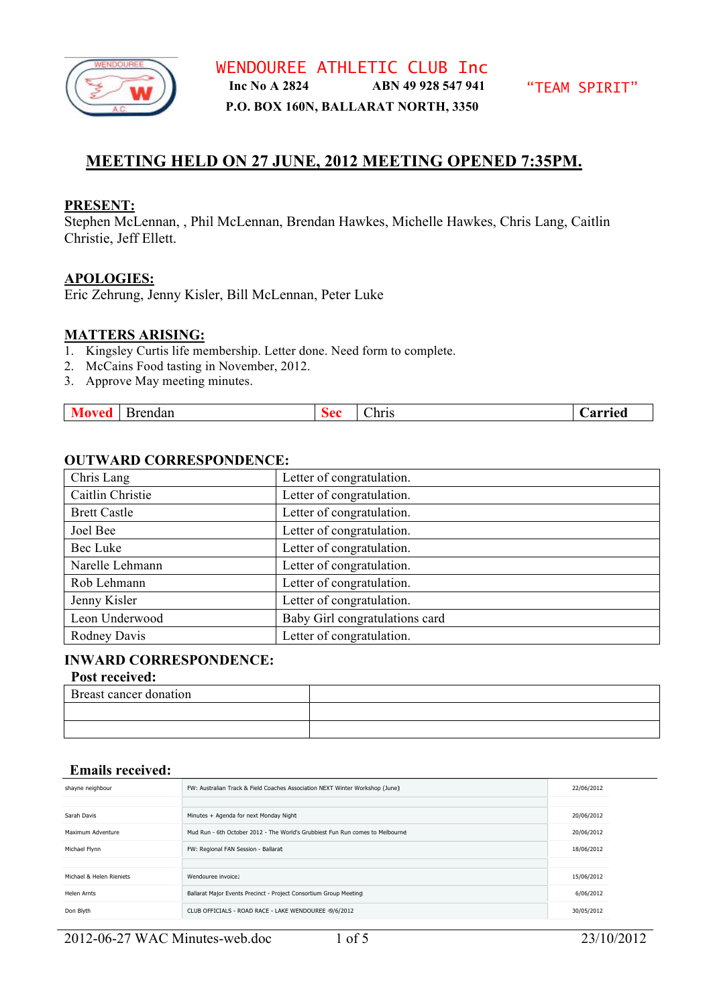

# **MEETING HELD ON 27 JUNE, 2012 MEETING OPENED 7:35PM.**

### **PRESENT:**

Stephen McLennan, , Phil McLennan, Brendan Hawkes, Michelle Hawkes, Chris Lang, Caitlin Christie, Jeff Ellett.

## **APOLOGIES:**

Eric Zehrung, Jenny Kisler, Bill McLennan, Peter Luke

# **MATTERS ARISING:**

- 1. Kingsley Curtis life membership. Letter done. Need form to complete.
- 2. McCains Food tasting in November, 2012.
- 3. Approve May meeting minutes.

| $-$<br>Aarried<br>hris:<br>Brendan<br>$\mathbf{a}$ |
|----------------------------------------------------|
|----------------------------------------------------|

#### **OUTWARD CORRESPONDENCE:**

| Chris Lang          | Letter of congratulation.      |
|---------------------|--------------------------------|
| Caitlin Christie    | Letter of congratulation.      |
| <b>Brett Castle</b> | Letter of congratulation.      |
| Joel Bee            | Letter of congratulation.      |
| Bec Luke            | Letter of congratulation.      |
| Narelle Lehmann     | Letter of congratulation.      |
| Rob Lehmann         | Letter of congratulation.      |
| Jenny Kisler        | Letter of congratulation.      |
| Leon Underwood      | Baby Girl congratulations card |
| Rodney Davis        | Letter of congratulation.      |

### **INWARD CORRESPONDENCE:**

# **Post received:**

| Breast cancer donation |  |
|------------------------|--|
|                        |  |
|                        |  |

# **Emails received:**

| shayne neighbour         | FW: Australian Track & Field Coaches Association NEXT Winter Workshop (June)  | 22/06/2012 |  |
|--------------------------|-------------------------------------------------------------------------------|------------|--|
|                          |                                                                               |            |  |
| Sarah Davis              | Minutes + Agenda for next Monday Night                                        | 20/06/2012 |  |
| Maximum Adventure        | Mud Run - 6th October 2012 - The World's Grubbiest Fun Run comes to Melbourne | 20/06/2012 |  |
| Michael Flynn            | FW: Regional FAN Session - Ballarat                                           | 18/06/2012 |  |
|                          |                                                                               |            |  |
| Michael & Helen Rieniets | Wendouree invoice:                                                            | 15/06/2012 |  |
| Helen Arnts              | Ballarat Major Events Precinct - Project Consortium Group Meeting             | 6/06/2012  |  |
| Don Blyth                | CLUB OFFICIALS - ROAD RACE - LAKE WENDOUREE -9/6/2012                         | 30/05/2012 |  |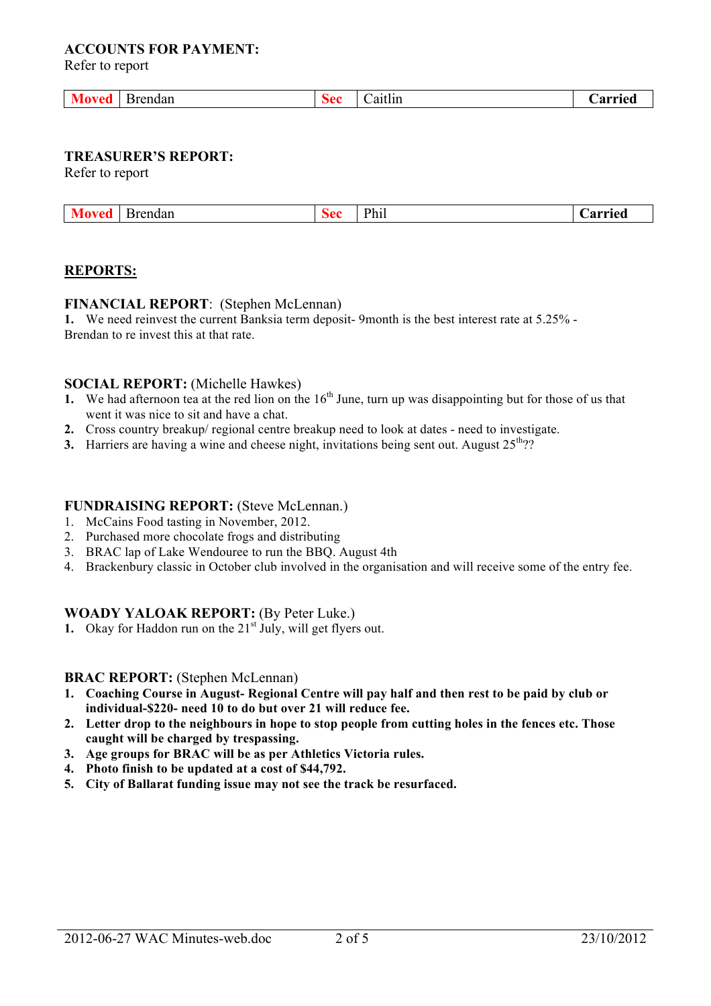## **ACCOUNTS FOR PAYMENT:**

Refer to report

| Brendan | . | .<br>$0.1 + 1.1$<br>-21 L F<br>_______ | arrıed<br>. |
|---------|---|----------------------------------------|-------------|
|         |   |                                        |             |

# **TREASURER'S REPORT:**

Refer to report

| <b>Moved</b><br><b>Brendan</b> |  | Phi | .)arried |
|--------------------------------|--|-----|----------|
|--------------------------------|--|-----|----------|

#### **REPORTS:**

#### **FINANCIAL REPORT**: (Stephen McLennan)

**1.** We need reinvest the current Banksia term deposit- 9month is the best interest rate at 5.25% - Brendan to re invest this at that rate.

## **SOCIAL REPORT:** (Michelle Hawkes)

- **1.** We had afternoon tea at the red lion on the  $16<sup>th</sup>$  June, turn up was disappointing but for those of us that went it was nice to sit and have a chat.
- **2.** Cross country breakup/ regional centre breakup need to look at dates need to investigate.
- **3.** Harriers are having a wine and cheese night, invitations being sent out. August  $25<sup>th</sup>$ ?

#### **FUNDRAISING REPORT:** (Steve McLennan.)

- 1. McCains Food tasting in November, 2012.
- 2. Purchased more chocolate frogs and distributing
- 3. BRAC lap of Lake Wendouree to run the BBQ. August 4th
- 4. Brackenbury classic in October club involved in the organisation and will receive some of the entry fee.

#### **WOADY YALOAK REPORT:** (By Peter Luke.)

**1.** Okay for Haddon run on the 21<sup>st</sup> July, will get flyers out.

#### **BRAC REPORT:** (Stephen McLennan)

- **1. Coaching Course in August- Regional Centre will pay half and then rest to be paid by club or individual-\$220- need 10 to do but over 21 will reduce fee.**
- **2. Letter drop to the neighbours in hope to stop people from cutting holes in the fences etc. Those caught will be charged by trespassing.**
- **3. Age groups for BRAC will be as per Athletics Victoria rules.**
- **4. Photo finish to be updated at a cost of \$44,792.**
- **5. City of Ballarat funding issue may not see the track be resurfaced.**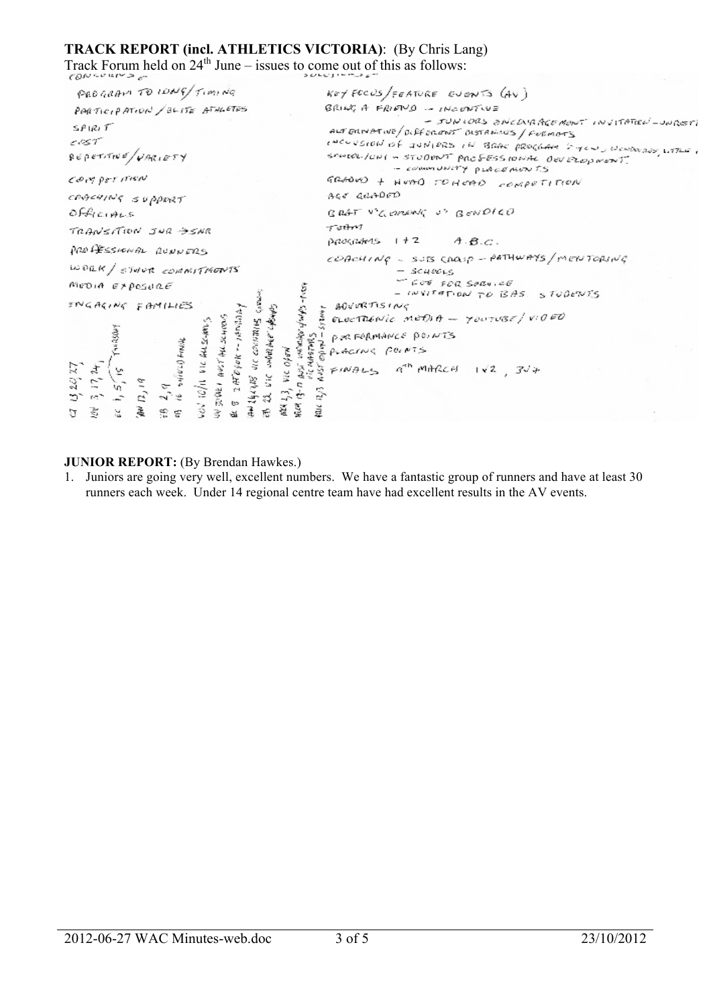## **TRACK REPORT (incl. ATHLETICS VICTORIA)**: (By Chris Lang)

Track Forum held on  $24^{th}$  June – issues to come out of this as follows:

| PEDGRAM TO IDNG/TIMING                                                                                                                                                                    | $Ker$ FCCUS/FEATURE EVENTS (AV)                                                                                                                                                                                                                                                                                                           |
|-------------------------------------------------------------------------------------------------------------------------------------------------------------------------------------------|-------------------------------------------------------------------------------------------------------------------------------------------------------------------------------------------------------------------------------------------------------------------------------------------------------------------------------------------|
| PARTICIPATION / SLITE ATHLETES                                                                                                                                                            | BRING A FRIEND - INCONTIVE                                                                                                                                                                                                                                                                                                                |
| SPIRIT<br>2057                                                                                                                                                                            | - JUNIORS ENCOURAGEMENT INVITATION-UNREST<br>ALT EXIMPTIVE/DIFFERENT BISTANCES/FORMATS                                                                                                                                                                                                                                                    |
| $\frac{1}{2}$ <i>ecorde /variety</i>                                                                                                                                                      | inconsion of gunlers in Bank program byen, women with it<br>SANIOL-10NI - STUDENT PROFESSIONAL OUVEROPMENT.<br>- COMMUNITY PLACEMENTS                                                                                                                                                                                                     |
| COMPETITION                                                                                                                                                                               | GRADOD + HOAD TO HOAD COMPETITION                                                                                                                                                                                                                                                                                                         |
| CORCHING SUPPORT                                                                                                                                                                          | AGE GRADED                                                                                                                                                                                                                                                                                                                                |
| Officials                                                                                                                                                                                 | BRAT V'GERENG U' BONDICO                                                                                                                                                                                                                                                                                                                  |
| TRANSITION JUR SENR                                                                                                                                                                       | Teitro<br>$p q q q q r q s$ $1 + 2$ $A \cdot B \cdot C$ .                                                                                                                                                                                                                                                                                 |
| PROFESSIONAL RUNNERS                                                                                                                                                                      | COACHING - SUIS CARLO - PATHWAYS/MENTORING                                                                                                                                                                                                                                                                                                |
| WORK / STUCK COMMITMENTS                                                                                                                                                                  | $-$ SCHEELS                                                                                                                                                                                                                                                                                                                               |
| MEDIA EXPOSURE                                                                                                                                                                            | FOR SERVICE<br>- INVITATION TO BAS. STUDENTS                                                                                                                                                                                                                                                                                              |
| INGACING FAMILIES                                                                                                                                                                         | E BOVORTISING<br>E ELECTRENIC METAT - YOUTUBE / VIOED                                                                                                                                                                                                                                                                                     |
|                                                                                                                                                                                           |                                                                                                                                                                                                                                                                                                                                           |
|                                                                                                                                                                                           | POR FORMANCE POINTS                                                                                                                                                                                                                                                                                                                       |
|                                                                                                                                                                                           |                                                                                                                                                                                                                                                                                                                                           |
| $\frac{\mu \nu \tau' \mu \mu \nu \alpha \beta}{H \hat{\nu} \rho \nu \kappa - \mu \nu \mu \alpha \mu}$<br>are containing a<br>VIC ALEGANS<br>SHIPS CONNE<br>2 HOYOK<br>$\mathcal{H}$<br>77 | <b>CONTRACTION</b><br>$\frac{1}{2}$ $\frac{1}{2}$ $\frac{1}{2}$ $\frac{1}{2}$ $\frac{1}{2}$ $\frac{1}{2}$ $\frac{1}{2}$ $\frac{1}{2}$ $\frac{1}{2}$ $\frac{1}{2}$ $\frac{1}{2}$ $\frac{1}{2}$ $\frac{1}{2}$ $\frac{1}{2}$ $\frac{1}{2}$ $\frac{1}{2}$ $\frac{1}{2}$ $\frac{1}{2}$ $\frac{1}{2}$ $\frac{1}{2}$ $\frac{1}{2}$ $\frac{1}{2}$ |
| $\frac{264}{32}$ Vic<br>Z,<br>ï,<br>$\tilde{z}$<br>$\tilde{\varphi}$<br>深鲜<br>$\frac{1}{2}$                                                                                               |                                                                                                                                                                                                                                                                                                                                           |
| Š.<br>莈<br>$\mathcal{H}$<br>ĝ.<br>್ಲಿ ಕ<br>冨<br>$\sigma$<br>項<br>ਹ                                                                                                                        |                                                                                                                                                                                                                                                                                                                                           |
| $\frac{1}{2}$<br>$\omega_{\nu}$<br>e»<br>毒虎                                                                                                                                               |                                                                                                                                                                                                                                                                                                                                           |

#### **JUNIOR REPORT:** (By Brendan Hawkes.)

1. Juniors are going very well, excellent numbers. We have a fantastic group of runners and have at least 30 runners each week. Under 14 regional centre team have had excellent results in the AV events.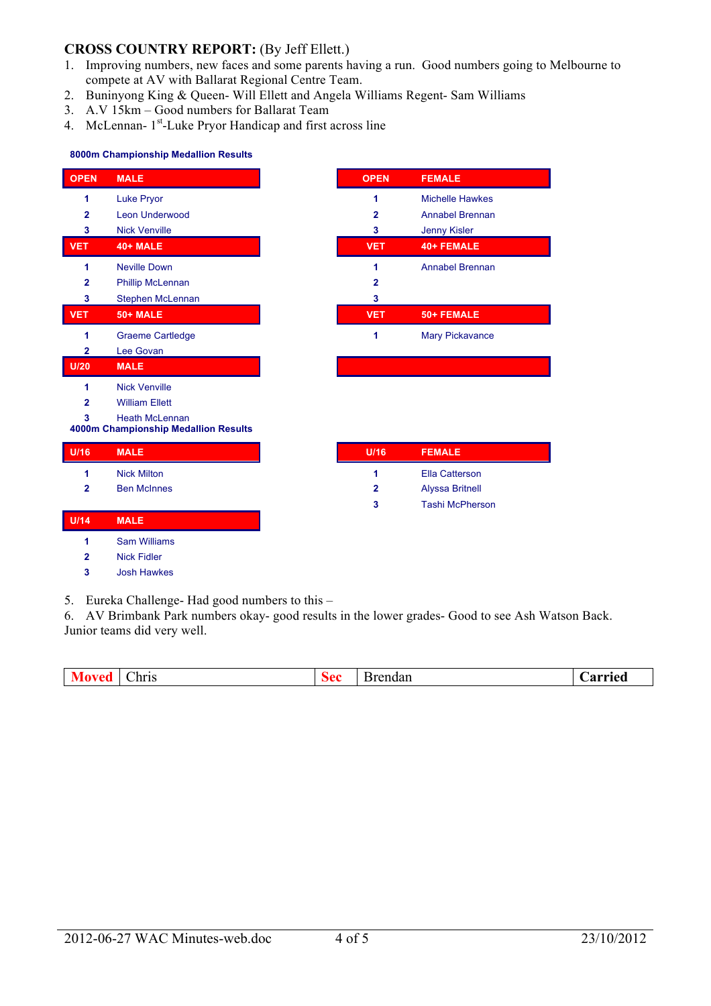# **CROSS COUNTRY REPORT:** (By Jeff Ellett.)

- 1. Improving numbers, new faces and some parents having a run. Good numbers going to Melbourne to compete at AV with Ballarat Regional Centre Team.
- 2. Buninyong King & Queen- Will Ellett and Angela Williams Regent- Sam Williams
- 3. A.V 15km Good numbers for Ballarat Team
- 4. McLennan- 1<sup>st</sup>-Luke Pryor Handicap and first across line

#### **8000m Championship Medallion Results**

| <b>OPEN</b>             | <b>MALE</b>                                                   |
|-------------------------|---------------------------------------------------------------|
| 1                       | <b>Luke Pryor</b>                                             |
| $\mathbf{2}$            | Leon Underwood                                                |
| 3                       | <b>Nick Venville</b>                                          |
| <b>VET</b>              | <b>40+ MALE</b>                                               |
| 1                       | <b>Neville Down</b>                                           |
| $\mathbf{2}$            | <b>Phillip McLennan</b>                                       |
| 3                       | Stephen McLennan                                              |
| <b>VET</b>              | <b>50+ MALE</b>                                               |
| 1                       | <b>Graeme Cartledge</b>                                       |
| $\overline{\mathbf{2}}$ | Lee Govan                                                     |
| U/20                    | <b>MALE</b>                                                   |
| 1                       | <b>Nick Venville</b>                                          |
| $\overline{2}$          | <b>William Ellett</b>                                         |
| 3                       | <b>Heath McLennan</b><br>4000m Championship Medallion Results |
|                         |                                                               |
| U/16                    | <b>MALE</b>                                                   |
| 1                       | <b>Nick Milton</b>                                            |
| $\overline{2}$          | <b>Ben McInnes</b>                                            |
|                         |                                                               |
| U/14                    | <b>MALE</b>                                                   |
| 1                       | <b>Sam Williams</b>                                           |
| $\mathbf{2}$            | <b>Nick Fidler</b>                                            |
| 3                       | <b>Josh Hawkes</b>                                            |

5. Eureka Challenge- Had good numbers to this –

6. AV Brimbank Park numbers okay- good results in the lower grades- Good to see Ash Watson Back. Junior teams did very well.

| --<br>.<br>hris<br>D<br>$\sim$ $\sim$ $\sim$ $\sim$ $\sim$ | arriec<br>$\sim$<br><br>iai |
|------------------------------------------------------------|-----------------------------|
|------------------------------------------------------------|-----------------------------|